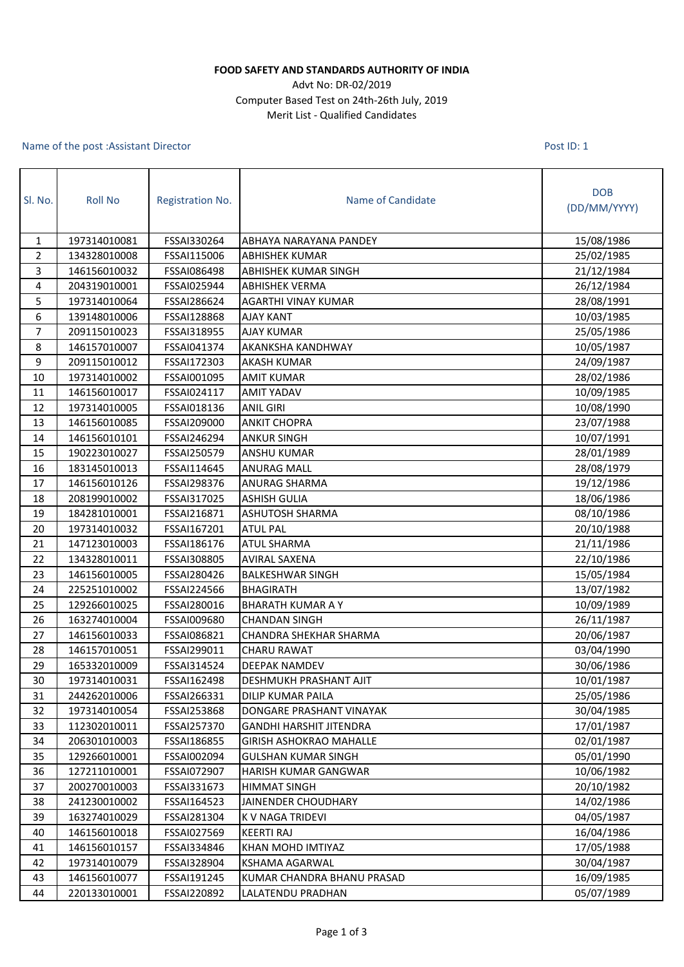## **FOOD SAFETY AND STANDARDS AUTHORITY OF INDIA**

## Advt No: DR-02/2019 Computer Based Test on 24th-26th July, 2019 Merit List - Qualified Candidates

## Name of the post :Assistant Director

Post ID: 1

| Sl. No.        | <b>Roll No</b> | Registration No. | Name of Candidate              | <b>DOB</b><br>(DD/MM/YYYY) |
|----------------|----------------|------------------|--------------------------------|----------------------------|
| $\mathbf{1}$   | 197314010081   | FSSAI330264      | ABHAYA NARAYANA PANDEY         | 15/08/1986                 |
| $\overline{2}$ | 134328010008   | FSSAI115006      | <b>ABHISHEK KUMAR</b>          | 25/02/1985                 |
| 3              | 146156010032   | FSSAI086498      | ABHISHEK KUMAR SINGH           | 21/12/1984                 |
| 4              | 204319010001   | FSSAI025944      | <b>ABHISHEK VERMA</b>          | 26/12/1984                 |
| 5              | 197314010064   | FSSAI286624      | <b>AGARTHI VINAY KUMAR</b>     | 28/08/1991                 |
| 6              | 139148010006   | FSSAI128868      | <b>AJAY KANT</b>               | 10/03/1985                 |
| 7              | 209115010023   | FSSAI318955      | <b>AJAY KUMAR</b>              | 25/05/1986                 |
| 8              | 146157010007   | FSSAI041374      | AKANKSHA KANDHWAY              | 10/05/1987                 |
| 9              | 209115010012   | FSSAI172303      | <b>AKASH KUMAR</b>             | 24/09/1987                 |
| 10             | 197314010002   | FSSAI001095      | <b>AMIT KUMAR</b>              | 28/02/1986                 |
| 11             | 146156010017   | FSSAI024117      | <b>AMIT YADAV</b>              | 10/09/1985                 |
| 12             | 197314010005   | FSSAI018136      | <b>ANIL GIRI</b>               | 10/08/1990                 |
| 13             | 146156010085   | FSSAI209000      | <b>ANKIT CHOPRA</b>            | 23/07/1988                 |
| 14             | 146156010101   | FSSAI246294      | <b>ANKUR SINGH</b>             | 10/07/1991                 |
| 15             | 190223010027   | FSSAI250579      | <b>ANSHU KUMAR</b>             | 28/01/1989                 |
| 16             | 183145010013   | FSSAI114645      | <b>ANURAG MALL</b>             | 28/08/1979                 |
| 17             | 146156010126   | FSSAI298376      | <b>ANURAG SHARMA</b>           | 19/12/1986                 |
| 18             | 208199010002   | FSSAI317025      | <b>ASHISH GULIA</b>            | 18/06/1986                 |
| 19             | 184281010001   | FSSAI216871      | ASHUTOSH SHARMA                | 08/10/1986                 |
| 20             | 197314010032   | FSSAI167201      | <b>ATUL PAL</b>                | 20/10/1988                 |
| 21             | 147123010003   | FSSAI186176      | <b>ATUL SHARMA</b>             | 21/11/1986                 |
| 22             | 134328010011   | FSSAI308805      | <b>AVIRAL SAXENA</b>           | 22/10/1986                 |
| 23             | 146156010005   | FSSAI280426      | <b>BALKESHWAR SINGH</b>        | 15/05/1984                 |
| 24             | 225251010002   | FSSAI224566      | <b>BHAGIRATH</b>               | 13/07/1982                 |
| 25             | 129266010025   | FSSAI280016      | <b>BHARATH KUMAR A Y</b>       | 10/09/1989                 |
| 26             | 163274010004   | FSSAI009680      | <b>CHANDAN SINGH</b>           | 26/11/1987                 |
| 27             | 146156010033   | FSSAI086821      | CHANDRA SHEKHAR SHARMA         | 20/06/1987                 |
| 28             | 146157010051   | FSSAI299011      | <b>CHARU RAWAT</b>             | 03/04/1990                 |
| 29             | 165332010009   | FSSAI314524      | DEEPAK NAMDEV                  | 30/06/1986                 |
| 30             | 197314010031   | FSSAI162498      | <b>DESHMUKH PRASHANT AJIT</b>  | 10/01/1987                 |
| 31             | 244262010006   | FSSAI266331      | DILIP KUMAR PAILA              | 25/05/1986                 |
| 32             | 197314010054   | FSSAI253868      | DONGARE PRASHANT VINAYAK       | 30/04/1985                 |
| 33             | 112302010011   | FSSAI257370      | GANDHI HARSHIT JITENDRA        | 17/01/1987                 |
| 34             | 206301010003   | FSSAI186855      | <b>GIRISH ASHOKRAO MAHALLE</b> | 02/01/1987                 |
| 35             | 129266010001   | FSSAI002094      | <b>GULSHAN KUMAR SINGH</b>     | 05/01/1990                 |
| 36             | 127211010001   | FSSAI072907      | HARISH KUMAR GANGWAR           | 10/06/1982                 |
| 37             | 200270010003   | FSSAI331673      | <b>HIMMAT SINGH</b>            | 20/10/1982                 |
| 38             | 241230010002   | FSSAI164523      | JAINENDER CHOUDHARY            | 14/02/1986                 |
| 39             | 163274010029   | FSSAI281304      | K V NAGA TRIDEVI               | 04/05/1987                 |
| 40             | 146156010018   | FSSAI027569      | <b>KEERTI RAJ</b>              | 16/04/1986                 |
| 41             | 146156010157   | FSSAI334846      | KHAN MOHD IMTIYAZ              | 17/05/1988                 |
| 42             | 197314010079   | FSSAI328904      | KSHAMA AGARWAL                 | 30/04/1987                 |
| 43             | 146156010077   | FSSAI191245      | KUMAR CHANDRA BHANU PRASAD     | 16/09/1985                 |
| 44             | 220133010001   | FSSAI220892      | LALATENDU PRADHAN              | 05/07/1989                 |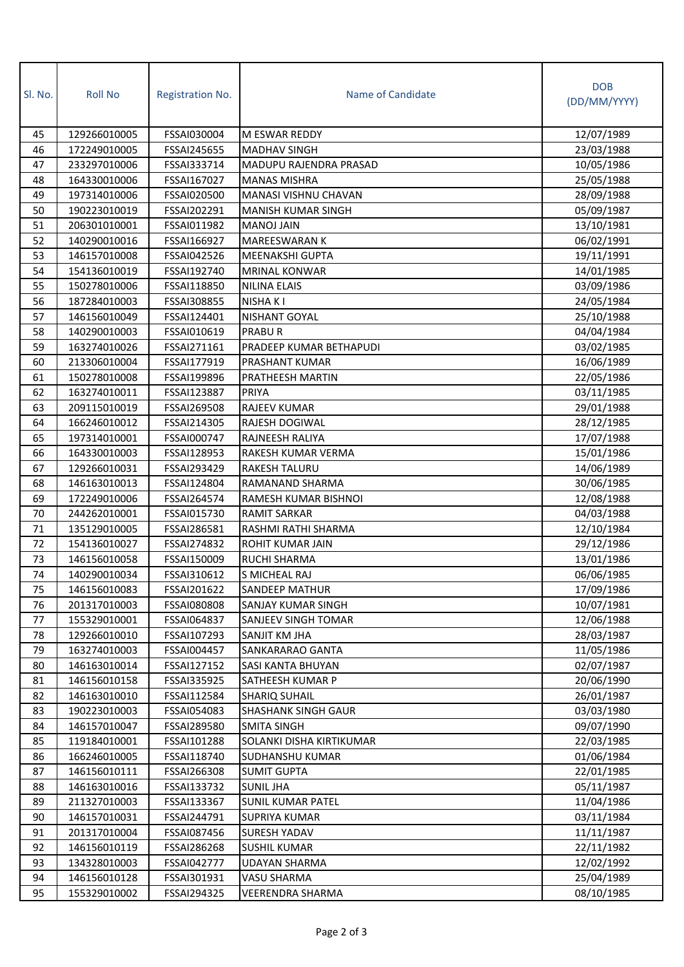| SI. No. | <b>Roll No</b> | Registration No. | Name of Candidate          | <b>DOB</b><br>(DD/MM/YYYY) |
|---------|----------------|------------------|----------------------------|----------------------------|
| 45      | 129266010005   | FSSAI030004      | M ESWAR REDDY              | 12/07/1989                 |
| 46      | 172249010005   | FSSAI245655      | <b>MADHAV SINGH</b>        | 23/03/1988                 |
| 47      | 233297010006   | FSSAI333714      | MADUPU RAJENDRA PRASAD     | 10/05/1986                 |
| 48      | 164330010006   | FSSAI167027      | <b>MANAS MISHRA</b>        | 25/05/1988                 |
| 49      | 197314010006   | FSSAI020500      | MANASI VISHNU CHAVAN       | 28/09/1988                 |
| 50      | 190223010019   | FSSAI202291      | MANISH KUMAR SINGH         | 05/09/1987                 |
| 51      | 206301010001   | FSSAI011982      | MANOJ JAIN                 | 13/10/1981                 |
| 52      | 140290010016   | FSSAI166927      | MAREESWARAN K              | 06/02/1991                 |
| 53      | 146157010008   | FSSAI042526      | MEENAKSHI GUPTA            | 19/11/1991                 |
| 54      | 154136010019   | FSSAI192740      | <b>MRINAL KONWAR</b>       | 14/01/1985                 |
| 55      | 150278010006   | FSSAI118850      | <b>NILINA ELAIS</b>        | 03/09/1986                 |
| 56      | 187284010003   | FSSAI308855      | NISHA K I                  | 24/05/1984                 |
| 57      | 146156010049   | FSSAI124401      | NISHANT GOYAL              | 25/10/1988                 |
| 58      | 140290010003   | FSSAI010619      | <b>PRABUR</b>              | 04/04/1984                 |
| 59      | 163274010026   | FSSAI271161      | PRADEEP KUMAR BETHAPUDI    | 03/02/1985                 |
| 60      | 213306010004   | FSSAI177919      | PRASHANT KUMAR             | 16/06/1989                 |
| 61      | 150278010008   | FSSAI199896      | PRATHEESH MARTIN           | 22/05/1986                 |
| 62      | 163274010011   | FSSAI123887      | PRIYA                      | 03/11/1985                 |
| 63      | 209115010019   | FSSAI269508      | RAJEEV KUMAR               | 29/01/1988                 |
| 64      | 166246010012   | FSSAI214305      | RAJESH DOGIWAL             | 28/12/1985                 |
| 65      | 197314010001   | FSSAI000747      | RAJNEESH RALIYA            | 17/07/1988                 |
| 66      | 164330010003   | FSSAI128953      | RAKESH KUMAR VERMA         | 15/01/1986                 |
| 67      | 129266010031   | FSSAI293429      | RAKESH TALURU              | 14/06/1989                 |
| 68      | 146163010013   | FSSAI124804      | RAMANAND SHARMA            | 30/06/1985                 |
| 69      | 172249010006   | FSSAI264574      | RAMESH KUMAR BISHNOI       | 12/08/1988                 |
| 70      | 244262010001   | FSSAI015730      | <b>RAMIT SARKAR</b>        | 04/03/1988                 |
| 71      | 135129010005   | FSSAI286581      | RASHMI RATHI SHARMA        | 12/10/1984                 |
| 72      | 154136010027   | FSSAI274832      | <b>ROHIT KUMAR JAIN</b>    | 29/12/1986                 |
| 73      | 146156010058   | FSSAI150009      | RUCHI SHARMA               | 13/01/1986                 |
| 74      | 140290010034   | FSSAI310612      | S MICHEAL RAJ              | 06/06/1985                 |
| 75      | 146156010083   | FSSAI201622      | SANDEEP MATHUR             | 17/09/1986                 |
| 76      | 201317010003   | FSSAI080808      | SANJAY KUMAR SINGH         | 10/07/1981                 |
| 77      | 155329010001   | FSSAI064837      | SANJEEV SINGH TOMAR        | 12/06/1988                 |
| 78      | 129266010010   | FSSAI107293      | SANJIT KM JHA              | 28/03/1987                 |
| 79      | 163274010003   | FSSAI004457      | SANKARARAO GANTA           | 11/05/1986                 |
| 80      | 146163010014   | FSSAI127152      | SASI KANTA BHUYAN          | 02/07/1987                 |
| 81      | 146156010158   | FSSAI335925      | SATHEESH KUMAR P           | 20/06/1990                 |
| 82      | 146163010010   | FSSAI112584      | <b>SHARIQ SUHAIL</b>       | 26/01/1987                 |
| 83      | 190223010003   | FSSAI054083      | <b>SHASHANK SINGH GAUR</b> | 03/03/1980                 |
| 84      | 146157010047   | FSSAI289580      | <b>SMITA SINGH</b>         | 09/07/1990                 |
| 85      | 119184010001   | FSSAI101288      | SOLANKI DISHA KIRTIKUMAR   | 22/03/1985                 |
| 86      | 166246010005   | FSSAI118740      | SUDHANSHU KUMAR            | 01/06/1984                 |
| 87      | 146156010111   | FSSAI266308      | <b>SUMIT GUPTA</b>         | 22/01/1985                 |
| 88      | 146163010016   | FSSAI133732      | <b>SUNIL JHA</b>           | 05/11/1987                 |
| 89      | 211327010003   | FSSAI133367      | SUNIL KUMAR PATEL          | 11/04/1986                 |
| 90      | 146157010031   | FSSAI244791      | <b>SUPRIYA KUMAR</b>       | 03/11/1984                 |
| 91      | 201317010004   | FSSAI087456      | SURESH YADAV               | 11/11/1987                 |
| 92      | 146156010119   | FSSAI286268      | <b>SUSHIL KUMAR</b>        | 22/11/1982                 |
| 93      | 134328010003   | FSSAI042777      | UDAYAN SHARMA              | 12/02/1992                 |
| 94      | 146156010128   | FSSAI301931      | VASU SHARMA                | 25/04/1989                 |
| 95      | 155329010002   | FSSAI294325      | VEERENDRA SHARMA           | 08/10/1985                 |